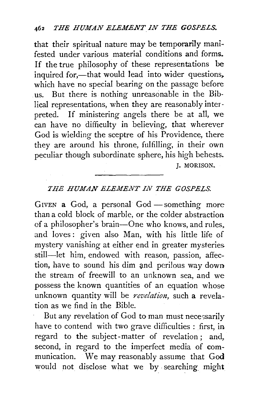that their spiritual nature may be temporarily manifested under various material conditions and forms. If the true philosophy of these representations be inquired for,—that would lead into wider questions, which have no special bearing on the passage before . us. But there is nothing unreasonable in the Biblical representations, when they are reasonably interpreted. If ministering angels there be at all, we can have no difficulty in believing, that wherever God is wielding the sceptre of his Providence, there they are around his throne, fulfilling, in their own peculiar though subordinate sphere, his high behests.

J. MORISON.

## *THE HUMAN ELEMENT IN THE GOSPELS.*

GIVEN a God, a personal  $God$ —something more than a cold block of marble, or the colder abstraction of a philosopher's brain-One who knows, and rules, and loves : given also Man, with his little life of mystery vanishing at either end in greater mysteries still-let him, endowed with reason, passion, affection, have to sound his dim and perilous way down the stream of freewill to an unknown sea, and we possess the known quantities of an equation whose unknown quantity will be *revelation,* such a revelation as we find in the Bible.

But any revelation of God to man must necessarily have to contend with two grave difficulties : first, in regard to the subject-matter of revelation; and, second, in regard to the imperfect media of communication. We may reasonably assume that God would not disclose what we by . searching\_ might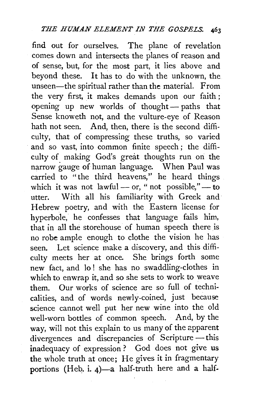find out for ourselves. The plane of revelation comes down and intersects the planes of reason and of sense, but, for the most part, it lies above and beyond these. It has to do with the unknown, the unseen—the spiritual rather than the material. From the very first, it makes demands upon our faith ; opening up new worlds of thought $-$  paths that Sense knoweth not, and the vulture-eye of Reason hath not seen. And, then, there is the second difficulty, that of compressing these truths, so varied and so vast, into common finite speech ; the difficulty of making God's great thoughts run on the narrow gauge of human language. When Paul was carried to "the third heavens,'' he heard things which it was not lawful -- or, " not possible," $-$  to utter. With all his familiarity with Greek and Hebrew poetry, and with the Eastern license for hyperbole, he confesses that language fails him, that in all the storehouse of human speech there is no robe ample enough to clothe the vision he has seen. Let science make a discovery, and this difficulty meets her at once. She brings forth some new fact, and lo ! she has no swaddling-clothes in which to enwrap it, and so she sets to work to weave them. Our works of science are so full of technicalities, and of words newly-coined, just because science cannot well put her new wine into the old well-worn bottles of common speech. And, by the way, will not this explain to us many of the apparent divergences and discrepancies of Scripture-this inadequacy of expression? God does not give us the whole truth at once; He gives it in fragmentary portions (Heb. i. 4)-a half-truth here and a half-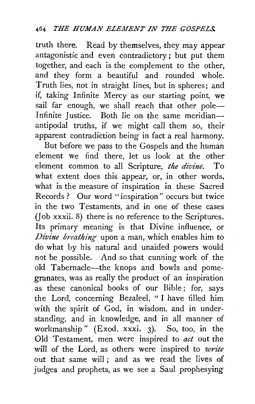truth there. Read by themselves, they may appear antagonistic and even contradictory; but put them together, and each is the complement to the other, and they form a beautiful and rounded whole. Truth lies, not in straight lines, but in spheres; and if, taking Infinite Mercy as our starting point, we sail far enough, we shall reach that other pole-Infinite Justice. Both lie on the same meridianantipodal truths, if we might call them so, their apparent contradiction being in fact a real harmony.

But before we pass to the Gospels and the human element we find there, let us look at the other element common to all Scripture, *the divine.* To what extent does this appear, or, in other words, what is the measure of inspiration in these Sacred Records ? Our word " inspiration" occurs but twice in the two Testaments, and in one of these cases  $($ [ob xxxii. 8) there is no reference to the Scriptures. Its primary meaning is that Divine influence, or *Divine breathing* upon a man, which enables him to do what by his natural and unaided powers would not be possible. And so that cunning work of the old Tabernacle-the knops and bowls and pomegranates, was as really the product of an inspiration . as these canonical books of our Bible; for, says the Lord, concerning Bezaleel, " I have filled him with the spirit of God, in wisdom, and in understanding, and in knowledge, and in all manner of workmanship" (Exod. xxxi. 3). So, too, in the Old Testament, men were inspired to act out the will of the Lord, as others were inspired to *write*  out that same will; and as we read the lives of judges and prophets, as we see a Saul prophesying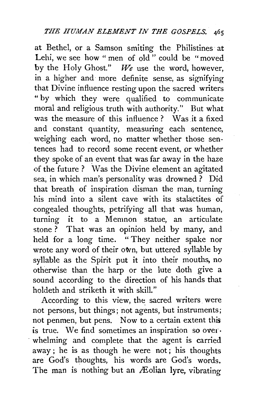at Bethel, or a Samson smiting the Philistines at Lehi, we see how " men of old" could be "moved by the Holy Ghost." *We* use the word, however, in a higher and· more definite sense, as signifying that Divine influence resting upon the sacred writers "by which they were qualified to communicate moral and religious truth with authority." But what was the measure of this influence? Was it a fixed and constant quantity, measuring each sentence, weighing each word, no matter whether those sentences had to record some recent event, or whether they spoke of an event that was far away in the haze of the future? Was the Divine element an agitated sea, in which man's personality was drowned ? Did that breath of inspiration disman the man, turning his mind into a silent cave with its stalactites of congealed thoughts, petrifying all that was human, turning it to a Memnon statue, an articulate stone ? That was an opinion held by many, and held for a long time. " They neither spake nor wrote any word of their own, but uttered syllable by syllable as the Spirit put it into their mouths, no otherwise than the harp or the lute doth give a sound according to the direction of his hands that holdeth and striketh it with skill."

According to this view, the sacred writers were not persons, but things; not agents, but instruments; not penmen, but pens. Now to a certain extent this is true. We find sometimes an inspiration so over· whelming and complete that the agent is carried away ; he is as though he were not; his thoughts are God's thoughts, his words are God's words. The man is nothing but an Æolian lyre, vibrating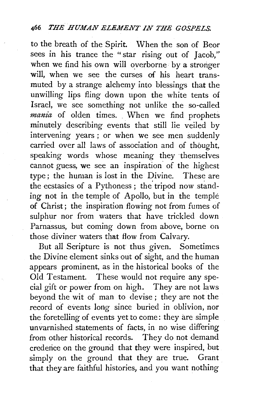to the breath of the Spirit. When the son of Beor sees in his trance the "star rising out of Jacob," when we find his own will overborne by a stronger will, when we see the curses of his heart transmuted by a strange alchemy into blessings that the unwilling lips fling down upon the white tents of Israel, we see something not unlike the so-called *mania* of olden times. When we find prophets minutely describing events that still lie veiled by intervening years ; or when we see men suddenly carried over all laws of association and of thought, speaking words whose meaning they themselves cannot guess, we see an inspiration of the highest type ; the human is lost in the Divine. These are the ecstasies of a Pythoness ; the' tripod now standing not in the temple of Apollo, but in the temple of Christ ; the inspiration flowing not from fumes of sulphur nor from waters that have trickled down Parnassus, but coming down from above, borne on those diviner waters that flow from Calvary.

But all Scripture is not thus given. Sometimes the Divine element sinks out of sight, and the human appears prominent, as in the historical books of the Old Testament. These would not require any special gift or power from on high. They are not laws beyond the wit of man to devise ; they are not the record of events long since buried in oblivion, nor the foretelling of events yet to come: they are simple unvarnished statements of facts, in no wise differing from other historical records. They do not demand crederice on the ground that they were inspired, but simply on the ground that they are true. Grant that they are faithful histories, and you want nothing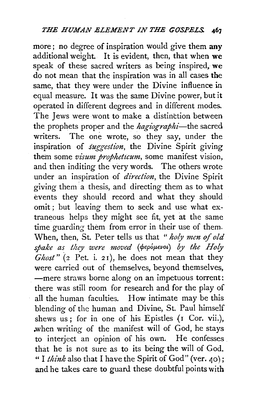more; no degree of inspiration would give them any additional weight. It is evident, then, that when we speak of these sacred writers as being inspired, we do not mean that the inspiration was in all cases the same, that they were under the Divine influence in equal measure. It was the same Divine power, but it operated in different degrees and in different modes. The Jews were wont to make a distinction between the prophets proper and the *hagiographi-the* sacred writers. The one wrote, so they say, under the inspiration of *suggestion,* the Divine Spirit giving them some *visum prophetzcum,* some manifest vision, and then inditing the very words. The others wrote under an inspiration of *direction*, the Divine Spirit giving them· a thesis, and directing them as to what events they should record and what they should omit; but leaving them to seek and use what extraneous helps they might see fit, yet at the same time guarding them from error in their use of them. When, then, St. Peter tells us that " *holy men* of *old*  spake as they were moved (φερόμενοι) by the Holy *Ghost"* (2 Pet. i. 21), he does not mean that they were carried out of themselves, beyond themselves, -mere straws borne along on an impetuous torrent: there was still room for research and for the play of all the human faculties. How intimate may be this blending of the human and Divine, St. Paul himself shews us; for in one of his Epistles {I Cor. vii.), .when writing of the manifest will of God, he stays to interject an opinion of his own. He confesses that he is not sure as to its being the will of God. "I *think* also that I have the Spirit of God" (ver. 40); and he takes care to guard these doubtful points with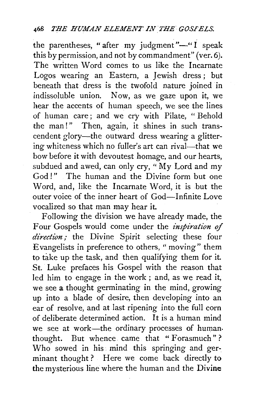the parentheses, "after my judgment"-"I speak this by permission, and not by commandment" (ver. 6). The written Word comes to us like the Incarnate Logos wearing an Eastern, a Jewish· dress; but beneath that dress is the twofold nature joined in indissoluble union. Now, as we gaze upon it, we hear the accents of human speech, we see the lines of human care; and we cry with Pilate, " Behold the man!" Then, again, it shines in such transcendent glory-the outward dress wearing a glittering whiteness which no fuller's art can rival-that we bow before it with devoutest homage, and our hearts, subdued and awed, can only cry, " $My$  Lord and my God!" The human and the Divine form but one Word, and, like the Incarnate Word, it is but the outer voice of the inner heart of God-Infinite Love vocalized so that man may hear it.

Following the division we have already made, the Four Gospels would come under the *inspiration of direction;* the Divine Spirit selecting these four Evangelists in preference to others, " moving" them to take up the task, and then qualifying them for it. St. Luke prefaces his Gospel with the reason that led him to engage in the work ; and, as we read it, we see **a** thought germinating in the mind, growing up into a blade of desire, then developing into an ear of resolve, and at last ripening into the full corn of deliberate determined action. It is a human mind we see at work-the ordinary processes of human. thought. But whence. came that " Forasmuch" ? Who sowed in his mind this springing and germinant thought? Here we come back directly **to**  the mysterious line where the human and the **Divine**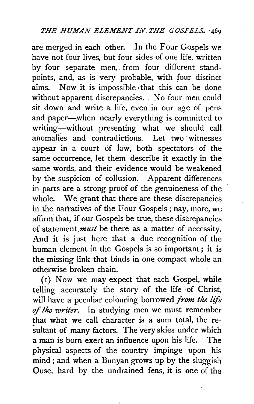are merged in each other. In the Four Gospels we have not four lives, but four sides of one life, written by four separate men, from four different standpoints, and, as is very probable, with four distinct aims. Now it is impossible that this can be done without apparent discrepancies. No four men could sit down and write a life, even in our age of pens and paper—when nearly everything is committed to writing-without presenting what we should call anomalies and contradictions. Let two witnesses appear in a court of law, both spectators of the same occurrence, let them describe it exactly in the same words, and their evidence would be weakened by the suspicion of collusion. Apparent differences in parts are a strong proof of the genuineness of the whole. We grant that there are these discrepancies in the narratives of the Four Gospels ; nay, more, we affirm that, if our Gospels be true, these discrepancies of.statement *must* be there as a matter of necessity. And it is just here that a due recognition of the human element in the Gospels is so important ; it is the missing link that binds in one compact whole an otherwise broken chain.

(1) Now we may expect that each Gospel, while telling accurately the story of the life of Christ, will have a peculiar colouring borrowed *from the life qf the writer.* In studying men we must remember that what we call character is a sum total, the resultant of many factors. The very skies under which a man is born exert an influence upon his life. The physical aspects of the country impinge upon his mind ; and when a Bunyan grows up by the sluggish Ouse, hard by the undrained fens, it is one of the